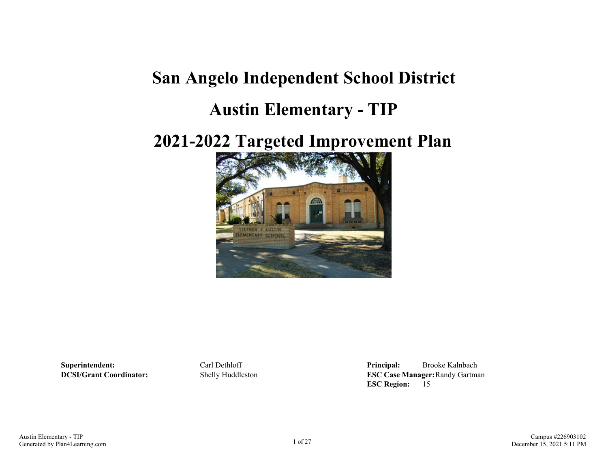## **San Angelo Independent School District**

### **Austin Elementary - TIP**

## **2021-2022 Targeted Improvement Plan**



**Superintendent:** Carl Dethloff **Principal:** Brooke Kalnbach **DCSI/Grant Coordinator:** Shelly Huddleston **ESC Case Manager:**Randy Gartman **ESC Region:** 15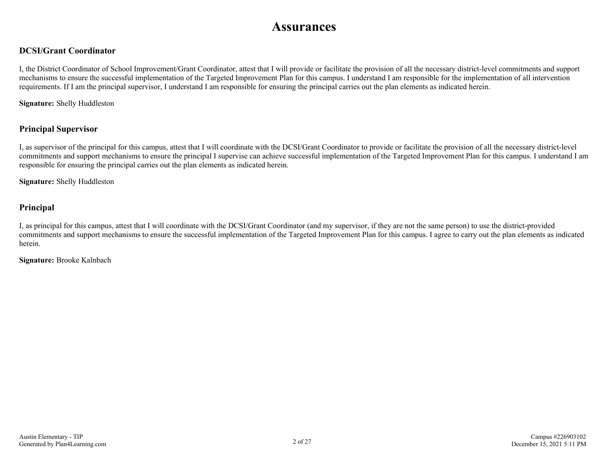### **Assurances**

#### **DCSI/Grant Coordinator**

I, the District Coordinator of School Improvement/Grant Coordinator, attest that I will provide or facilitate the provision of all the necessary district-level commitments and support mechanisms to ensure the successful implementation of the Targeted Improvement Plan for this campus. I understand I am responsible for the implementation of all intervention requirements. If I am the principal supervisor, I understand I am responsible for ensuring the principal carries out the plan elements as indicated herein.

**Signature:** Shelly Huddleston

#### **Principal Supervisor**

I, as supervisor of the principal for this campus, attest that I will coordinate with the DCSI/Grant Coordinator to provide or facilitate the provision of all the necessary district-level commitments and support mechanisms to ensure the principal I supervise can achieve successful implementation of the Targeted Improvement Plan for this campus. I understand I am responsible for ensuring the principal carries out the plan elements as indicated herein.

**Signature:** Shelly Huddleston

#### **Principal**

I, as principal for this campus, attest that I will coordinate with the DCSI/Grant Coordinator (and my supervisor, if they are not the same person) to use the district-provided commitments and support mechanisms to ensure the successful implementation of the Targeted Improvement Plan for this campus. I agree to carry out the plan elements as indicated herein.

**Signature:** Brooke Kalnbach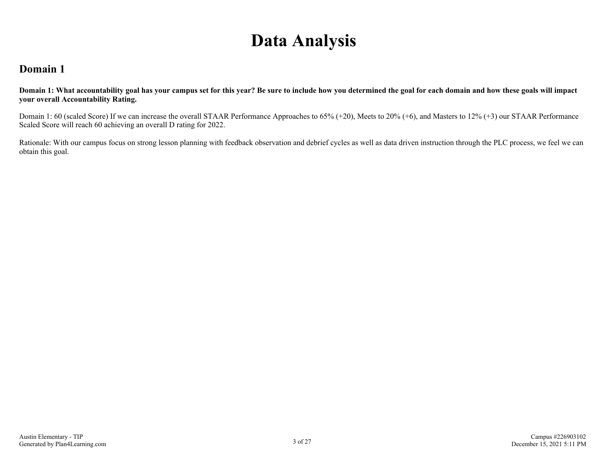## **Data Analysis**

### **Domain 1**

**Domain 1: What accountability goal has your campus set for this year? Be sure to include how you determined the goal for each domain and how these goals will impact your overall Accountability Rating.**

Domain 1: 60 (scaled Score) If we can increase the overall STAAR Performance Approaches to 65% (+20), Meets to 20% (+6), and Masters to 12% (+3) our STAAR Performance Scaled Score will reach 60 achieving an overall D rating for 2022.

Rationale: With our campus focus on strong lesson planning with feedback observation and debrief cycles as well as data driven instruction through the PLC process, we feel we can obtain this goal.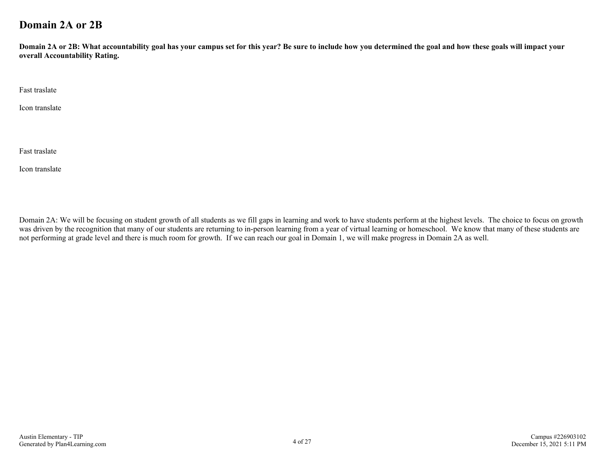### **Domain 2A or 2B**

**Domain 2A or 2B: What accountability goal has your campus set for this year? Be sure to include how you determined the goal and how these goals will impact your overall Accountability Rating.**

Fast traslate

Icon translate

Fast traslate

Icon translate

Domain 2A: We will be focusing on student growth of all students as we fill gaps in learning and work to have students perform at the highest levels. The choice to focus on growth was driven by the recognition that many of our students are returning to in-person learning from a year of virtual learning or homeschool. We know that many of these students are not performing at grade level and there is much room for growth. If we can reach our goal in Domain 1, we will make progress in Domain 2A as well.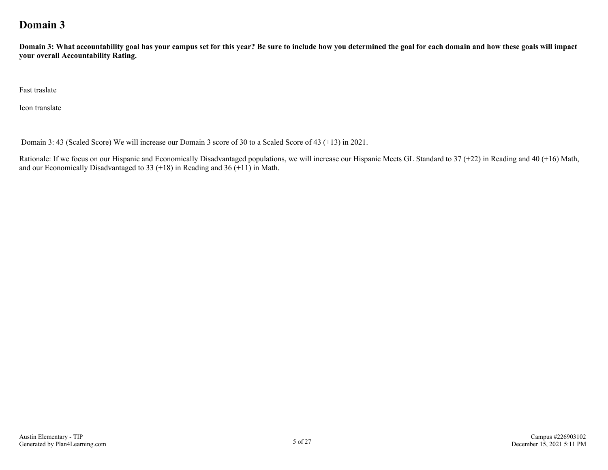### **Domain 3**

**Domain 3: What accountability goal has your campus set for this year? Be sure to include how you determined the goal for each domain and how these goals will impact your overall Accountability Rating.**

Fast traslate

Icon translate

Domain 3: 43 (Scaled Score) We will increase our Domain 3 score of 30 to a Scaled Score of 43 (+13) in 2021.

Rationale: If we focus on our Hispanic and Economically Disadvantaged populations, we will increase our Hispanic Meets GL Standard to 37 (+22) in Reading and 40 (+16) Math, and our Economically Disadvantaged to 33  $(+18)$  in Reading and 36  $(+11)$  in Math.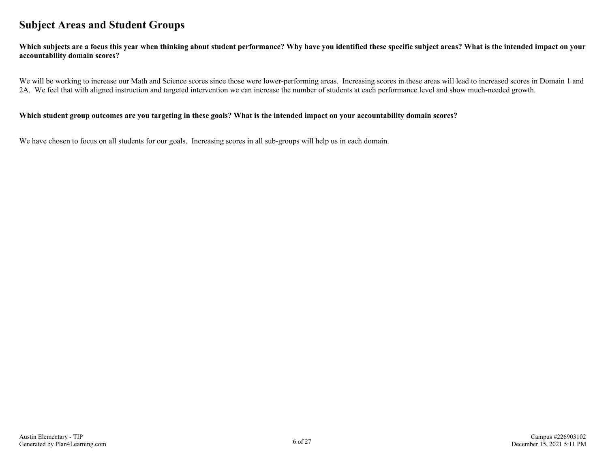### **Subject Areas and Student Groups**

**Which subjects are a focus this year when thinking about student performance? Why have you identified these specific subject areas? What is the intended impact on your accountability domain scores?**

We will be working to increase our Math and Science scores since those were lower-performing areas. Increasing scores in these areas will lead to increased scores in Domain 1 and 2A. We feel that with aligned instruction and targeted intervention we can increase the number of students at each performance level and show much-needed growth.

#### **Which student group outcomes are you targeting in these goals? What is the intended impact on your accountability domain scores?**

We have chosen to focus on all students for our goals. Increasing scores in all sub-groups will help us in each domain.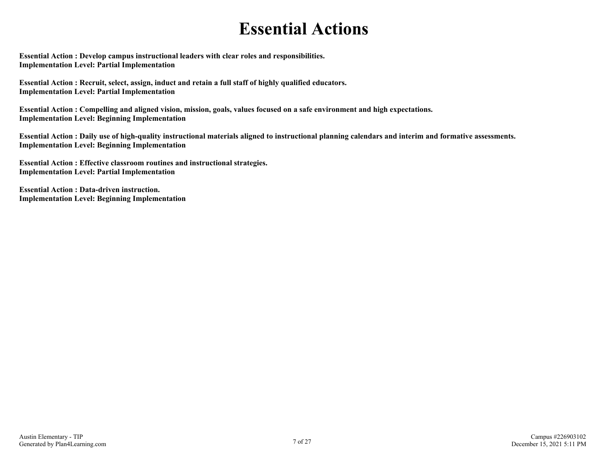## **Essential Actions**

**Essential Action : Develop campus instructional leaders with clear roles and responsibilities. Implementation Level: Partial Implementation** 

**Essential Action : Recruit, select, assign, induct and retain a full staff of highly qualified educators. Implementation Level: Partial Implementation** 

**Essential Action : Compelling and aligned vision, mission, goals, values focused on a safe environment and high expectations. Implementation Level: Beginning Implementation** 

**Essential Action : Daily use of high-quality instructional materials aligned to instructional planning calendars and interim and formative assessments. Implementation Level: Beginning Implementation** 

**Essential Action : Effective classroom routines and instructional strategies. Implementation Level: Partial Implementation** 

**Essential Action : Data-driven instruction. Implementation Level: Beginning Implementation**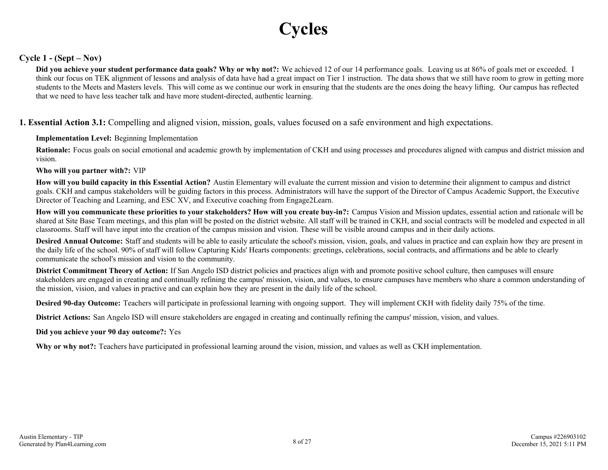# **Cycles**

#### **Cycle 1 - (Sept – Nov)**

**Did you achieve your student performance data goals? Why or why not?:** We achieved 12 of our 14 performance goals. Leaving us at 86% of goals met or exceeded. I think our focus on TEK alignment of lessons and analysis of data have had a great impact on Tier 1 instruction. The data shows that we still have room to grow in getting more students to the Meets and Masters levels. This will come as we continue our work in ensuring that the students are the ones doing the heavy lifting. Our campus has reflected that we need to have less teacher talk and have more student-directed, authentic learning.

**1. Essential Action 3.1:** Compelling and aligned vision, mission, goals, values focused on a safe environment and high expectations.

#### **Implementation Level:** Beginning Implementation

**Rationale:** Focus goals on social emotional and academic growth by implementation of CKH and using processes and procedures aligned with campus and district mission and vision.

#### **Who will you partner with?:** VIP

**How will you build capacity in this Essential Action?** Austin Elementary will evaluate the current mission and vision to determine their alignment to campus and district goals. CKH and campus stakeholders will be guiding factors in this process. Administrators will have the support of the Director of Campus Academic Support, the Executive Director of Teaching and Learning, and ESC XV, and Executive coaching from Engage2Learn.

**How will you communicate these priorities to your stakeholders? How will you create buy-in?:** Campus Vision and Mission updates, essential action and rationale will be shared at Site Base Team meetings, and this plan will be posted on the district website. All staff will be trained in CKH, and social contracts will be modeled and expected in all classrooms. Staff will have input into the creation of the campus mission and vision. These will be visible around campus and in their daily actions.

**Desired Annual Outcome:** Staff and students will be able to easily articulate the school's mission, vision, goals, and values in practice and can explain how they are present in the daily life of the school. 90% of staff will follow Capturing Kids' Hearts components: greetings, celebrations, social contracts, and affirmations and be able to clearly communicate the school's mission and vision to the community.

**District Commitment Theory of Action:** If San Angelo ISD district policies and practices align with and promote positive school culture, then campuses will ensure stakeholders are engaged in creating and continually refining the campus' mission, vision, and values, to ensure campuses have members who share a common understanding of the mission, vision, and values in practive and can explain how they are present in the daily life of the school.

**Desired 90-day Outcome:** Teachers will participate in professional learning with ongoing support. They will implement CKH with fidelity daily 75% of the time.

**District Actions:** San Angelo ISD will ensure stakeholders are engaged in creating and continually refining the campus' mission, vision, and values.

#### **Did you achieve your 90 day outcome?:** Yes

**Why or why not?:** Teachers have participated in professional learning around the vision, mission, and values as well as CKH implementation.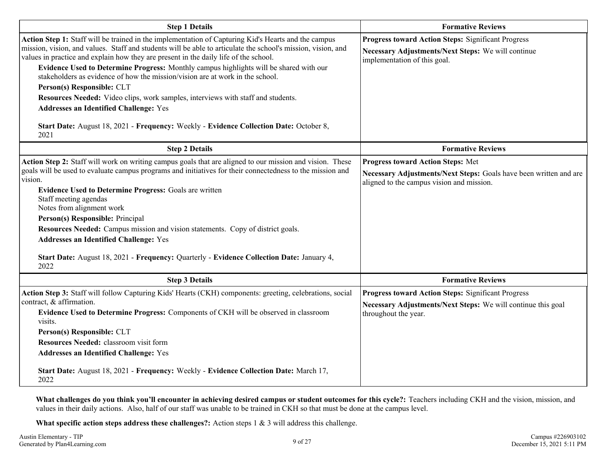| <b>Step 1 Details</b>                                                                                                                                                                                                                                                                                                                                                                                                                                                                                                                                                                                                                                                                                                                                       | <b>Formative Reviews</b>                                                                                                                                   |
|-------------------------------------------------------------------------------------------------------------------------------------------------------------------------------------------------------------------------------------------------------------------------------------------------------------------------------------------------------------------------------------------------------------------------------------------------------------------------------------------------------------------------------------------------------------------------------------------------------------------------------------------------------------------------------------------------------------------------------------------------------------|------------------------------------------------------------------------------------------------------------------------------------------------------------|
| Action Step 1: Staff will be trained in the implementation of Capturing Kid's Hearts and the campus<br>mission, vision, and values. Staff and students will be able to articulate the school's mission, vision, and<br>values in practice and explain how they are present in the daily life of the school.<br>Evidence Used to Determine Progress: Monthly campus highlights will be shared with our<br>stakeholders as evidence of how the mission/vision are at work in the school.<br>Person(s) Responsible: CLT<br>Resources Needed: Video clips, work samples, interviews with staff and students.<br><b>Addresses an Identified Challenge: Yes</b><br>Start Date: August 18, 2021 - Frequency: Weekly - Evidence Collection Date: October 8,<br>2021 | <b>Progress toward Action Steps: Significant Progress</b><br>Necessary Adjustments/Next Steps: We will continue<br>implementation of this goal.            |
| <b>Step 2 Details</b>                                                                                                                                                                                                                                                                                                                                                                                                                                                                                                                                                                                                                                                                                                                                       | <b>Formative Reviews</b>                                                                                                                                   |
| Action Step 2: Staff will work on writing campus goals that are aligned to our mission and vision. These<br>goals will be used to evaluate campus programs and initiatives for their connectedness to the mission and<br>vision.<br>Evidence Used to Determine Progress: Goals are written<br>Staff meeting agendas<br>Notes from alignment work<br>Person(s) Responsible: Principal<br>Resources Needed: Campus mission and vision statements. Copy of district goals.<br><b>Addresses an Identified Challenge: Yes</b><br>Start Date: August 18, 2021 - Frequency: Quarterly - Evidence Collection Date: January 4,<br>2022                                                                                                                               | <b>Progress toward Action Steps: Met</b><br>Necessary Adjustments/Next Steps: Goals have been written and are<br>aligned to the campus vision and mission. |
| <b>Step 3 Details</b>                                                                                                                                                                                                                                                                                                                                                                                                                                                                                                                                                                                                                                                                                                                                       | <b>Formative Reviews</b>                                                                                                                                   |
| Action Step 3: Staff will follow Capturing Kids' Hearts (CKH) components: greeting, celebrations, social<br>contract, & affirmation.<br>Evidence Used to Determine Progress: Components of CKH will be observed in classroom<br>visits.<br>Person(s) Responsible: CLT<br>Resources Needed: classroom visit form<br><b>Addresses an Identified Challenge: Yes</b><br>Start Date: August 18, 2021 - Frequency: Weekly - Evidence Collection Date: March 17,<br>2022                                                                                                                                                                                                                                                                                           | <b>Progress toward Action Steps: Significant Progress</b><br>Necessary Adjustments/Next Steps: We will continue this goal<br>throughout the year.          |

**What challenges do you think you'll encounter in achieving desired campus or student outcomes for this cycle?:** Teachers including CKH and the vision, mission, and values in their daily actions. Also, half of our staff was unable to be trained in CKH so that must be done at the campus level.

**What specific action steps address these challenges?:** Action steps 1 & 3 will address this challenge.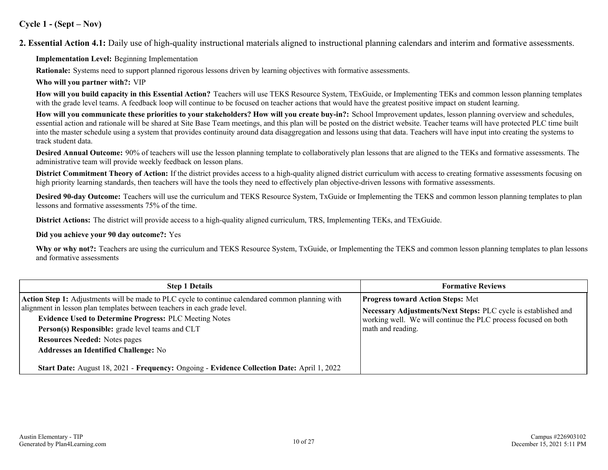#### **Cycle 1 - (Sept – Nov)**

**2. Essential Action 4.1:** Daily use of high-quality instructional materials aligned to instructional planning calendars and interim and formative assessments.

**Implementation Level:** Beginning Implementation

**Rationale:** Systems need to support planned rigorous lessons driven by learning objectives with formative assessments.

**Who will you partner with?:** VIP

**How will you build capacity in this Essential Action?** Teachers will use TEKS Resource System, TExGuide, or Implementing TEKs and common lesson planning templates with the grade level teams. A feedback loop will continue to be focused on teacher actions that would have the greatest positive impact on student learning.

**How will you communicate these priorities to your stakeholders? How will you create buy-in?:** School Improvement updates, lesson planning overview and schedules, essential action and rationale will be shared at Site Base Team meetings, and this plan will be posted on the district website. Teacher teams will have protected PLC time built into the master schedule using a system that provides continuity around data disaggregation and lessons using that data. Teachers will have input into creating the systems to track student data.

**Desired Annual Outcome:** 90% of teachers will use the lesson planning template to collaboratively plan lessons that are aligned to the TEKs and formative assessments. The administrative team will provide weekly feedback on lesson plans.

**District Commitment Theory of Action:** If the district provides access to a high-quality aligned district curriculum with access to creating formative assessments focusing on high priority learning standards, then teachers will have the tools they need to effectively plan objective-driven lessons with formative assessments.

**Desired 90-day Outcome:** Teachers will use the curriculum and TEKS Resource System, TxGuide or Implementing the TEKS and common lesson planning templates to plan lessons and formative assessments 75% of the time.

**District Actions:** The district will provide access to a high-quality aligned curriculum, TRS, Implementing TEKs, and TExGuide.

**Did you achieve your 90 day outcome?:** Yes

**Why or why not?:** Teachers are using the curriculum and TEKS Resource System, TxGuide, or Implementing the TEKS and common lesson planning templates to plan lessons and formative assessments

| <b>Step 1 Details</b>                                                                                                                                                                                                                                                                                                                                                                     | <b>Formative Reviews</b>                                                                                                                                                                          |
|-------------------------------------------------------------------------------------------------------------------------------------------------------------------------------------------------------------------------------------------------------------------------------------------------------------------------------------------------------------------------------------------|---------------------------------------------------------------------------------------------------------------------------------------------------------------------------------------------------|
| Action Step 1: Adjustments will be made to PLC cycle to continue calendared common planning with<br>alignment in lesson plan templates between teachers in each grade level.<br><b>Evidence Used to Determine Progress: PLC Meeting Notes</b><br>Person(s) Responsible: grade level teams and CLT<br><b>Resources Needed: Notes pages</b><br><b>Addresses an Identified Challenge: No</b> | <b>Progress toward Action Steps: Met</b><br>Necessary Adjustments/Next Steps: PLC cycle is established and<br>working well. We will continue the PLC process focused on both<br>math and reading. |
| Start Date: August 18, 2021 - Frequency: Ongoing - Evidence Collection Date: April 1, 2022                                                                                                                                                                                                                                                                                                |                                                                                                                                                                                                   |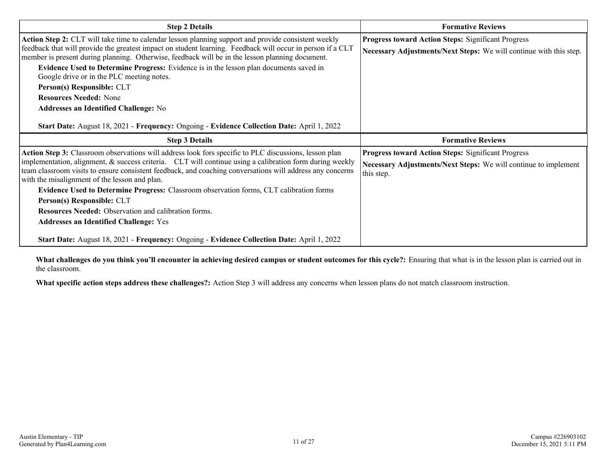| <b>Formative Reviews</b>                                                                                                        |
|---------------------------------------------------------------------------------------------------------------------------------|
| <b>Progress toward Action Steps: Significant Progress</b><br>Necessary Adjustments/Next Steps: We will continue with this step. |
| <b>Formative Reviews</b>                                                                                                        |
| Progress toward Action Steps: Significant Progress<br>Necessary Adjustments/Next Steps: We will continue to implement           |
| this step.                                                                                                                      |
|                                                                                                                                 |

**What challenges do you think you'll encounter in achieving desired campus or student outcomes for this cycle?:** Ensuring that what is in the lesson plan is carried out in the classroom.

**What specific action steps address these challenges?:** Action Step 3 will address any concerns when lesson plans do not match classroom instruction.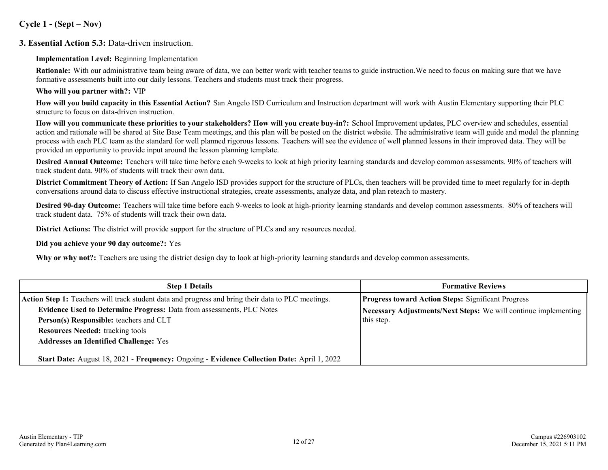#### **Cycle 1 - (Sept – Nov)**

#### **3. Essential Action 5.3:** Data-driven instruction.

#### **Implementation Level:** Beginning Implementation

**Rationale:** With our administrative team being aware of data, we can better work with teacher teams to guide instruction. We need to focus on making sure that we have formative assessments built into our daily lessons. Teachers and students must track their progress.

#### **Who will you partner with?:** VIP

**How will you build capacity in this Essential Action?** San Angelo ISD Curriculum and Instruction department will work with Austin Elementary supporting their PLC structure to focus on data-driven instruction.

**How will you communicate these priorities to your stakeholders? How will you create buy-in?:** School Improvement updates, PLC overview and schedules, essential action and rationale will be shared at Site Base Team meetings, and this plan will be posted on the district website. The administrative team will guide and model the planning process with each PLC team as the standard for well planned rigorous lessons. Teachers will see the evidence of well planned lessons in their improved data. They will be provided an opportunity to provide input around the lesson planning template.

**Desired Annual Outcome:** Teachers will take time before each 9-weeks to look at high priority learning standards and develop common assessments. 90% of teachers will track student data. 90% of students will track their own data.

**District Commitment Theory of Action:** If San Angelo ISD provides support for the structure of PLCs, then teachers will be provided time to meet regularly for in-depth conversations around data to discuss effective instructional strategies, create assessments, analyze data, and plan reteach to mastery.

**Desired 90-day Outcome:** Teachers will take time before each 9-weeks to look at high-priority learning standards and develop common assessments. 80% of teachers will track student data. 75% of students will track their own data.

**District Actions:** The district will provide support for the structure of PLCs and any resources needed.

#### **Did you achieve your 90 day outcome?:** Yes

**Why or why not?:** Teachers are using the district design day to look at high-priority learning standards and develop common assessments.

| <b>Step 1 Details</b>                                                                              | <b>Formative Reviews</b>                                        |  |
|----------------------------------------------------------------------------------------------------|-----------------------------------------------------------------|--|
| Action Step 1: Teachers will track student data and progress and bring their data to PLC meetings. | <b>Progress toward Action Steps: Significant Progress</b>       |  |
| Evidence Used to Determine Progress: Data from assessments, PLC Notes                              | Necessary Adjustments/Next Steps: We will continue implementing |  |
| Person(s) Responsible: teachers and CLT                                                            | this step.                                                      |  |
| <b>Resources Needed:</b> tracking tools                                                            |                                                                 |  |
| <b>Addresses an Identified Challenge: Yes</b>                                                      |                                                                 |  |
| Start Date: August 18, 2021 - Frequency: Ongoing - Evidence Collection Date: April 1, 2022         |                                                                 |  |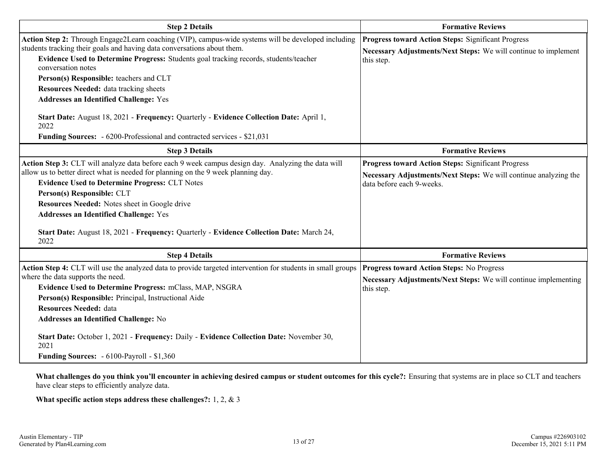| <b>Step 2 Details</b>                                                                                                                                                                                                                                                                                                                                                                                                                                                                         | <b>Formative Reviews</b>                                                                                                                                   |  |  |
|-----------------------------------------------------------------------------------------------------------------------------------------------------------------------------------------------------------------------------------------------------------------------------------------------------------------------------------------------------------------------------------------------------------------------------------------------------------------------------------------------|------------------------------------------------------------------------------------------------------------------------------------------------------------|--|--|
| Action Step 2: Through Engage2Learn coaching (VIP), campus-wide systems will be developed including<br>students tracking their goals and having data conversations about them.<br>Evidence Used to Determine Progress: Students goal tracking records, students/teacher<br>conversation notes                                                                                                                                                                                                 | <b>Progress toward Action Steps: Significant Progress</b><br>Necessary Adjustments/Next Steps: We will continue to implement<br>this step.                 |  |  |
| Person(s) Responsible: teachers and CLT                                                                                                                                                                                                                                                                                                                                                                                                                                                       |                                                                                                                                                            |  |  |
| <b>Resources Needed:</b> data tracking sheets                                                                                                                                                                                                                                                                                                                                                                                                                                                 |                                                                                                                                                            |  |  |
| <b>Addresses an Identified Challenge: Yes</b>                                                                                                                                                                                                                                                                                                                                                                                                                                                 |                                                                                                                                                            |  |  |
| Start Date: August 18, 2021 - Frequency: Quarterly - Evidence Collection Date: April 1,<br>2022<br>Funding Sources: - 6200-Professional and contracted services - \$21,031                                                                                                                                                                                                                                                                                                                    |                                                                                                                                                            |  |  |
| <b>Step 3 Details</b>                                                                                                                                                                                                                                                                                                                                                                                                                                                                         | <b>Formative Reviews</b>                                                                                                                                   |  |  |
| Action Step 3: CLT will analyze data before each 9 week campus design day. Analyzing the data will<br>allow us to better direct what is needed for planning on the 9 week planning day.<br><b>Evidence Used to Determine Progress: CLT Notes</b><br>Person(s) Responsible: CLT<br>Resources Needed: Notes sheet in Google drive<br><b>Addresses an Identified Challenge: Yes</b><br>Start Date: August 18, 2021 - Frequency: Quarterly - Evidence Collection Date: March 24,<br>2022          | <b>Progress toward Action Steps: Significant Progress</b><br>Necessary Adjustments/Next Steps: We will continue analyzing the<br>data before each 9-weeks. |  |  |
| <b>Step 4 Details</b>                                                                                                                                                                                                                                                                                                                                                                                                                                                                         | <b>Formative Reviews</b>                                                                                                                                   |  |  |
| Action Step 4: CLT will use the analyzed data to provide targeted intervention for students in small groups<br>where the data supports the need.<br>Evidence Used to Determine Progress: mClass, MAP, NSGRA<br>Person(s) Responsible: Principal, Instructional Aide<br><b>Resources Needed: data</b><br>Addresses an Identified Challenge: No<br>Start Date: October 1, 2021 - Frequency: Daily - Evidence Collection Date: November 30,<br>2021<br>Funding Sources: - 6100-Payroll - \$1,360 | <b>Progress toward Action Steps: No Progress</b><br>Necessary Adjustments/Next Steps: We will continue implementing<br>this step.                          |  |  |

**What challenges do you think you'll encounter in achieving desired campus or student outcomes for this cycle?:** Ensuring that systems are in place so CLT and teachers have clear steps to efficiently analyze data.

**What specific action steps address these challenges?:** 1, 2, & 3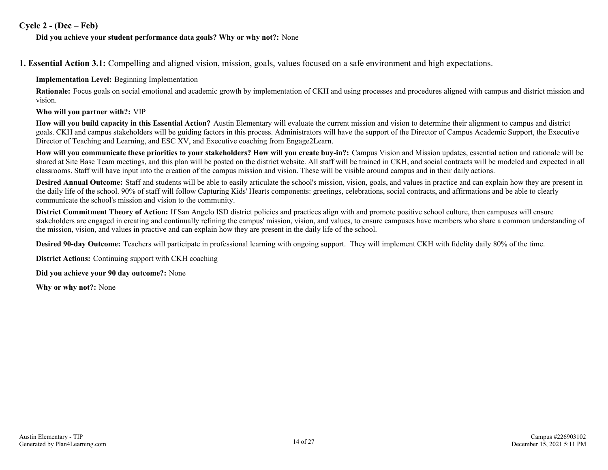#### **Cycle 2 - (Dec – Feb)**

#### **Did you achieve your student performance data goals? Why or why not?:** None

**1. Essential Action 3.1:** Compelling and aligned vision, mission, goals, values focused on a safe environment and high expectations.

#### **Implementation Level:** Beginning Implementation

**Rationale:** Focus goals on social emotional and academic growth by implementation of CKH and using processes and procedures aligned with campus and district mission and vision.

#### **Who will you partner with?:** VIP

**How will you build capacity in this Essential Action?** Austin Elementary will evaluate the current mission and vision to determine their alignment to campus and district goals. CKH and campus stakeholders will be guiding factors in this process. Administrators will have the support of the Director of Campus Academic Support, the Executive Director of Teaching and Learning, and ESC XV, and Executive coaching from Engage2Learn.

**How will you communicate these priorities to your stakeholders? How will you create buy-in?:** Campus Vision and Mission updates, essential action and rationale will be shared at Site Base Team meetings, and this plan will be posted on the district website. All staff will be trained in CKH, and social contracts will be modeled and expected in all classrooms. Staff will have input into the creation of the campus mission and vision. These will be visible around campus and in their daily actions.

**Desired Annual Outcome:** Staff and students will be able to easily articulate the school's mission, vision, goals, and values in practice and can explain how they are present in the daily life of the school. 90% of staff will follow Capturing Kids' Hearts components: greetings, celebrations, social contracts, and affirmations and be able to clearly communicate the school's mission and vision to the community.

**District Commitment Theory of Action:** If San Angelo ISD district policies and practices align with and promote positive school culture, then campuses will ensure stakeholders are engaged in creating and continually refining the campus' mission, vision, and values, to ensure campuses have members who share a common understanding of the mission, vision, and values in practive and can explain how they are present in the daily life of the school.

**Desired 90-day Outcome:** Teachers will participate in professional learning with ongoing support. They will implement CKH with fidelity daily 80% of the time.

**District Actions:** Continuing support with CKH coaching

**Did you achieve your 90 day outcome?:** None

**Why or why not?:** None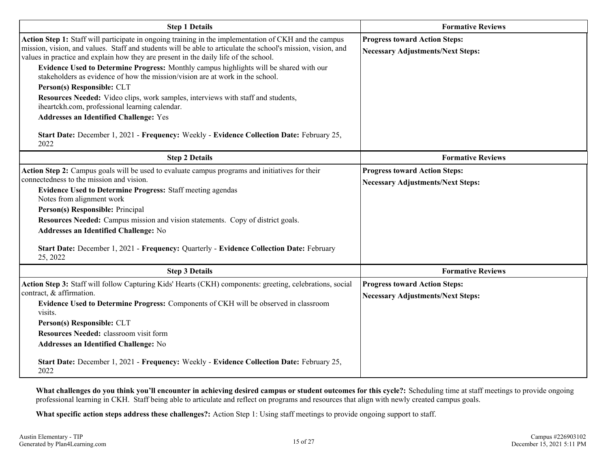| <b>Step 1 Details</b>                                                                                                                                                                                                                                                                                                                                                                                                                                                                                                                                                                                                                                                                                                                                                                                              | <b>Formative Reviews</b>                                                         |
|--------------------------------------------------------------------------------------------------------------------------------------------------------------------------------------------------------------------------------------------------------------------------------------------------------------------------------------------------------------------------------------------------------------------------------------------------------------------------------------------------------------------------------------------------------------------------------------------------------------------------------------------------------------------------------------------------------------------------------------------------------------------------------------------------------------------|----------------------------------------------------------------------------------|
| Action Step 1: Staff will participate in ongoing training in the implementation of CKH and the campus<br>mission, vision, and values. Staff and students will be able to articulate the school's mission, vision, and<br>values in practice and explain how they are present in the daily life of the school.<br>Evidence Used to Determine Progress: Monthly campus highlights will be shared with our<br>stakeholders as evidence of how the mission/vision are at work in the school.<br>Person(s) Responsible: CLT<br>Resources Needed: Video clips, work samples, interviews with staff and students,<br>iheartckh.com, professional learning calendar.<br><b>Addresses an Identified Challenge: Yes</b><br>Start Date: December 1, 2021 - Frequency: Weekly - Evidence Collection Date: February 25,<br>2022 | <b>Progress toward Action Steps:</b><br><b>Necessary Adjustments/Next Steps:</b> |
| <b>Step 2 Details</b>                                                                                                                                                                                                                                                                                                                                                                                                                                                                                                                                                                                                                                                                                                                                                                                              | <b>Formative Reviews</b>                                                         |
| Action Step 2: Campus goals will be used to evaluate campus programs and initiatives for their<br>connectedness to the mission and vision.<br><b>Evidence Used to Determine Progress: Staff meeting agendas</b><br>Notes from alignment work<br>Person(s) Responsible: Principal<br>Resources Needed: Campus mission and vision statements. Copy of district goals.<br>Addresses an Identified Challenge: No<br>Start Date: December 1, 2021 - Frequency: Quarterly - Evidence Collection Date: February<br>25, 2022                                                                                                                                                                                                                                                                                               | <b>Progress toward Action Steps:</b><br><b>Necessary Adjustments/Next Steps:</b> |
| <b>Step 3 Details</b>                                                                                                                                                                                                                                                                                                                                                                                                                                                                                                                                                                                                                                                                                                                                                                                              | <b>Formative Reviews</b>                                                         |
| Action Step 3: Staff will follow Capturing Kids' Hearts (CKH) components: greeting, celebrations, social<br>contract, & affirmation.<br>Evidence Used to Determine Progress: Components of CKH will be observed in classroom<br>visits.<br>Person(s) Responsible: CLT<br>Resources Needed: classroom visit form<br>Addresses an Identified Challenge: No<br>Start Date: December 1, 2021 - Frequency: Weekly - Evidence Collection Date: February 25,<br>2022                                                                                                                                                                                                                                                                                                                                                      | <b>Progress toward Action Steps:</b><br><b>Necessary Adjustments/Next Steps:</b> |

What challenges do you think you'll encounter in achieving desired campus or student outcomes for this cycle?: Scheduling time at staff meetings to provide ongoing professional learning in CKH. Staff being able to articulate and reflect on programs and resources that align with newly created campus goals.

**What specific action steps address these challenges?:** Action Step 1: Using staff meetings to provide ongoing support to staff.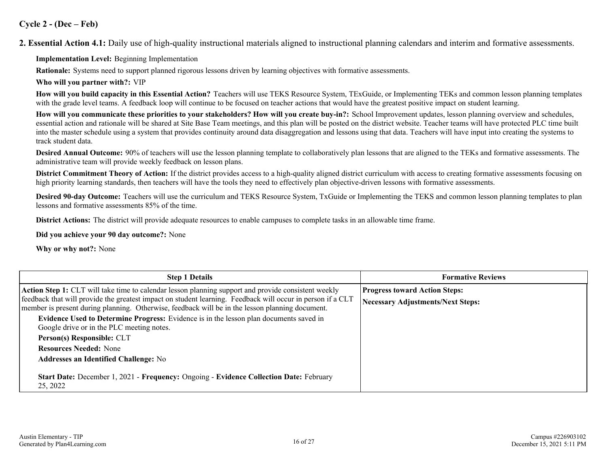#### **Cycle 2 - (Dec – Feb)**

**2. Essential Action 4.1:** Daily use of high-quality instructional materials aligned to instructional planning calendars and interim and formative assessments.

**Implementation Level:** Beginning Implementation

**Rationale:** Systems need to support planned rigorous lessons driven by learning objectives with formative assessments.

**Who will you partner with?:** VIP

**How will you build capacity in this Essential Action?** Teachers will use TEKS Resource System, TExGuide, or Implementing TEKs and common lesson planning templates with the grade level teams. A feedback loop will continue to be focused on teacher actions that would have the greatest positive impact on student learning.

**How will you communicate these priorities to your stakeholders? How will you create buy-in?:** School Improvement updates, lesson planning overview and schedules, essential action and rationale will be shared at Site Base Team meetings, and this plan will be posted on the district website. Teacher teams will have protected PLC time built into the master schedule using a system that provides continuity around data disaggregation and lessons using that data. Teachers will have input into creating the systems to track student data.

**Desired Annual Outcome:** 90% of teachers will use the lesson planning template to collaboratively plan lessons that are aligned to the TEKs and formative assessments. The administrative team will provide weekly feedback on lesson plans.

**District Commitment Theory of Action:** If the district provides access to a high-quality aligned district curriculum with access to creating formative assessments focusing on high priority learning standards, then teachers will have the tools they need to effectively plan objective-driven lessons with formative assessments.

**Desired 90-day Outcome:** Teachers will use the curriculum and TEKS Resource System, TxGuide or Implementing the TEKS and common lesson planning templates to plan lessons and formative assessments 85% of the time.

**District Actions:** The district will provide adequate resources to enable campuses to complete tasks in an allowable time frame.

**Did you achieve your 90 day outcome?:** None

**Why or why not?:** None

| <b>Step 1 Details</b>                                                                                                                                                                                                                                                                                                       | <b>Formative Reviews</b>                                                         |
|-----------------------------------------------------------------------------------------------------------------------------------------------------------------------------------------------------------------------------------------------------------------------------------------------------------------------------|----------------------------------------------------------------------------------|
| <b>Action Step 1:</b> CLT will take time to calendar lesson planning support and provide consistent weekly<br>feedback that will provide the greatest impact on student learning. Feedback will occur in person if a CLT<br>member is present during planning. Otherwise, feedback will be in the lesson planning document. | <b>Progress toward Action Steps:</b><br><b>Necessary Adjustments/Next Steps:</b> |
| Evidence Used to Determine Progress: Evidence is in the lesson plan documents saved in<br>Google drive or in the PLC meeting notes.                                                                                                                                                                                         |                                                                                  |
| Person(s) Responsible: CLT                                                                                                                                                                                                                                                                                                  |                                                                                  |
| <b>Resources Needed: None</b>                                                                                                                                                                                                                                                                                               |                                                                                  |
| <b>Addresses an Identified Challenge: No</b>                                                                                                                                                                                                                                                                                |                                                                                  |
| Start Date: December 1, 2021 - Frequency: Ongoing - Evidence Collection Date: February<br>25, 2022                                                                                                                                                                                                                          |                                                                                  |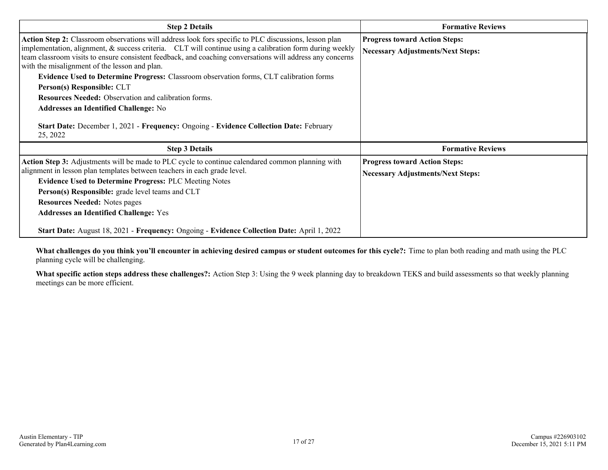| <b>Step 2 Details</b>                                                                                                                                                                                                                                                                                                                                                                                                                                                                                                                                                                                                                                                                                                           | <b>Formative Reviews</b>                                                         |
|---------------------------------------------------------------------------------------------------------------------------------------------------------------------------------------------------------------------------------------------------------------------------------------------------------------------------------------------------------------------------------------------------------------------------------------------------------------------------------------------------------------------------------------------------------------------------------------------------------------------------------------------------------------------------------------------------------------------------------|----------------------------------------------------------------------------------|
| Action Step 2: Classroom observations will address look fors specific to PLC discussions, lesson plan<br>implementation, alignment, $\&$ success criteria. CLT will continue using a calibration form during weekly<br>team classroom visits to ensure consistent feedback, and coaching conversations will address any concerns<br>with the misalignment of the lesson and plan.<br>Evidence Used to Determine Progress: Classroom observation forms, CLT calibration forms<br>Person(s) Responsible: CLT<br><b>Resources Needed:</b> Observation and calibration forms.<br><b>Addresses an Identified Challenge: No</b><br>Start Date: December 1, 2021 - Frequency: Ongoing - Evidence Collection Date: February<br>25, 2022 | <b>Progress toward Action Steps:</b><br><b>Necessary Adjustments/Next Steps:</b> |
| <b>Step 3 Details</b>                                                                                                                                                                                                                                                                                                                                                                                                                                                                                                                                                                                                                                                                                                           | <b>Formative Reviews</b>                                                         |
| Action Step 3: Adjustments will be made to PLC cycle to continue calendared common planning with<br>alignment in lesson plan templates between teachers in each grade level.<br><b>Evidence Used to Determine Progress: PLC Meeting Notes</b><br>Person(s) Responsible: grade level teams and CLT<br><b>Resources Needed: Notes pages</b><br><b>Addresses an Identified Challenge: Yes</b>                                                                                                                                                                                                                                                                                                                                      | <b>Progress toward Action Steps:</b><br><b>Necessary Adjustments/Next Steps:</b> |
| Start Date: August 18, 2021 - Frequency: Ongoing - Evidence Collection Date: April 1, 2022                                                                                                                                                                                                                                                                                                                                                                                                                                                                                                                                                                                                                                      |                                                                                  |

**What challenges do you think you'll encounter in achieving desired campus or student outcomes for this cycle?:** Time to plan both reading and math using the PLC planning cycle will be challenging.

**What specific action steps address these challenges?:** Action Step 3: Using the 9 week planning day to breakdown TEKS and build assessments so that weekly planning meetings can be more efficient.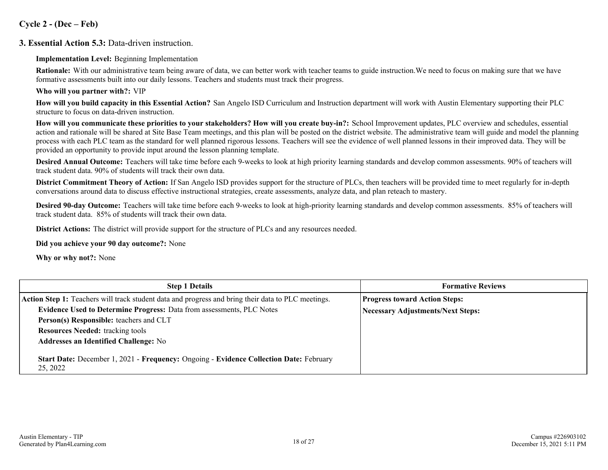#### **Cycle 2 - (Dec – Feb)**

#### **3. Essential Action 5.3:** Data-driven instruction.

#### **Implementation Level:** Beginning Implementation

**Rationale:** With our administrative team being aware of data, we can better work with teacher teams to guide instruction. We need to focus on making sure that we have formative assessments built into our daily lessons. Teachers and students must track their progress.

#### **Who will you partner with?:** VIP

**How will you build capacity in this Essential Action?** San Angelo ISD Curriculum and Instruction department will work with Austin Elementary supporting their PLC structure to focus on data-driven instruction.

**How will you communicate these priorities to your stakeholders? How will you create buy-in?:** School Improvement updates, PLC overview and schedules, essential action and rationale will be shared at Site Base Team meetings, and this plan will be posted on the district website. The administrative team will guide and model the planning process with each PLC team as the standard for well planned rigorous lessons. Teachers will see the evidence of well planned lessons in their improved data. They will be provided an opportunity to provide input around the lesson planning template.

**Desired Annual Outcome:** Teachers will take time before each 9-weeks to look at high priority learning standards and develop common assessments. 90% of teachers will track student data. 90% of students will track their own data.

**District Commitment Theory of Action:** If San Angelo ISD provides support for the structure of PLCs, then teachers will be provided time to meet regularly for in-depth conversations around data to discuss effective instructional strategies, create assessments, analyze data, and plan reteach to mastery.

**Desired 90-day Outcome:** Teachers will take time before each 9-weeks to look at high-priority learning standards and develop common assessments. 85% of teachers will track student data. 85% of students will track their own data.

**District Actions:** The district will provide support for the structure of PLCs and any resources needed.

**Did you achieve your 90 day outcome?:** None

**Why or why not?:** None

| <b>Step 1 Details</b>                                                                              | <b>Formative Reviews</b>                 |
|----------------------------------------------------------------------------------------------------|------------------------------------------|
| Action Step 1: Teachers will track student data and progress and bring their data to PLC meetings. | <b>Progress toward Action Steps:</b>     |
| Evidence Used to Determine Progress: Data from assessments, PLC Notes                              | <b>Necessary Adjustments/Next Steps:</b> |
| Person(s) Responsible: teachers and CLT                                                            |                                          |
| <b>Resources Needed: tracking tools</b>                                                            |                                          |
| <b>Addresses an Identified Challenge: No</b>                                                       |                                          |
| Start Date: December 1, 2021 - Frequency: Ongoing - Evidence Collection Date: February<br>25, 2022 |                                          |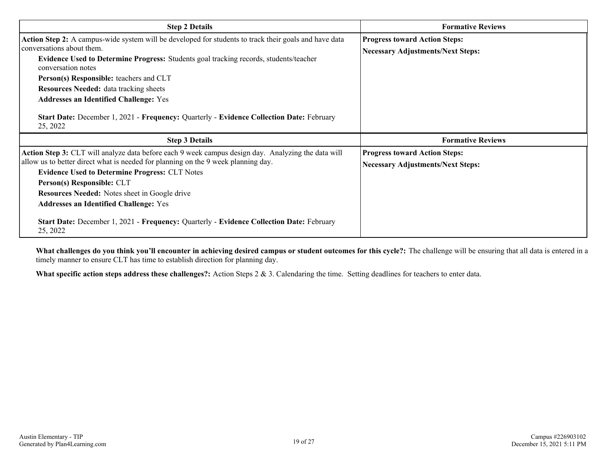| <b>Step 2 Details</b>                                                                                                                                                                                                                                                                                                                                                                                                                                                                                  | <b>Formative Reviews</b>                                                         |  |
|--------------------------------------------------------------------------------------------------------------------------------------------------------------------------------------------------------------------------------------------------------------------------------------------------------------------------------------------------------------------------------------------------------------------------------------------------------------------------------------------------------|----------------------------------------------------------------------------------|--|
| Action Step 2: A campus-wide system will be developed for students to track their goals and have data<br>conversations about them.<br>Evidence Used to Determine Progress: Students goal tracking records, students/teacher<br>conversation notes<br>Person(s) Responsible: teachers and CLT<br><b>Resources Needed:</b> data tracking sheets<br><b>Addresses an Identified Challenge: Yes</b><br>Start Date: December 1, 2021 - Frequency: Quarterly - Evidence Collection Date: February<br>25, 2022 | <b>Progress toward Action Steps:</b><br><b>Necessary Adjustments/Next Steps:</b> |  |
| <b>Step 3 Details</b>                                                                                                                                                                                                                                                                                                                                                                                                                                                                                  | <b>Formative Reviews</b>                                                         |  |
| Action Step 3: CLT will analyze data before each 9 week campus design day. Analyzing the data will<br>allow us to better direct what is needed for planning on the 9 week planning day.<br><b>Evidence Used to Determine Progress: CLT Notes</b><br>Person(s) Responsible: CLT<br><b>Resources Needed:</b> Notes sheet in Google drive<br><b>Addresses an Identified Challenge: Yes</b>                                                                                                                | <b>Progress toward Action Steps:</b><br><b>Necessary Adjustments/Next Steps:</b> |  |
| Start Date: December 1, 2021 - Frequency: Quarterly - Evidence Collection Date: February<br>25, 2022                                                                                                                                                                                                                                                                                                                                                                                                   |                                                                                  |  |

What challenges do you think you'll encounter in achieving desired campus or student outcomes for this cycle?: The challenge will be ensuring that all data is entered in a timely manner to ensure CLT has time to establish direction for planning day.

**What specific action steps address these challenges?:** Action Steps 2 & 3. Calendaring the time. Setting deadlines for teachers to enter data.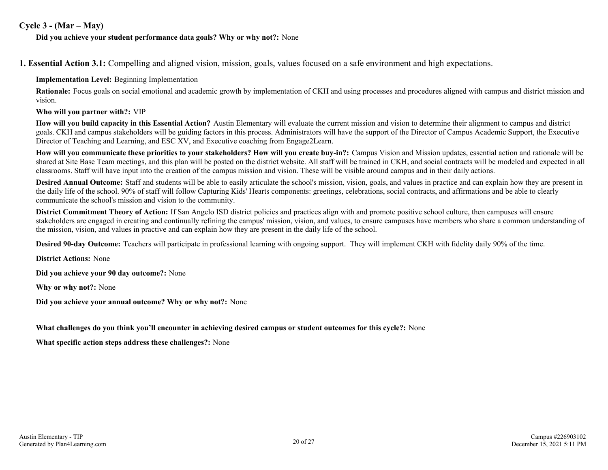#### **Cycle 3 - (Mar – May)**

**Did you achieve your student performance data goals? Why or why not?:** None

**1. Essential Action 3.1:** Compelling and aligned vision, mission, goals, values focused on a safe environment and high expectations.

**Implementation Level:** Beginning Implementation

**Rationale:** Focus goals on social emotional and academic growth by implementation of CKH and using processes and procedures aligned with campus and district mission and vision.

**Who will you partner with?:** VIP

**How will you build capacity in this Essential Action?** Austin Elementary will evaluate the current mission and vision to determine their alignment to campus and district goals. CKH and campus stakeholders will be guiding factors in this process. Administrators will have the support of the Director of Campus Academic Support, the Executive Director of Teaching and Learning, and ESC XV, and Executive coaching from Engage2Learn.

**How will you communicate these priorities to your stakeholders? How will you create buy-in?:** Campus Vision and Mission updates, essential action and rationale will be shared at Site Base Team meetings, and this plan will be posted on the district website. All staff will be trained in CKH, and social contracts will be modeled and expected in all classrooms. Staff will have input into the creation of the campus mission and vision. These will be visible around campus and in their daily actions.

**Desired Annual Outcome:** Staff and students will be able to easily articulate the school's mission, vision, goals, and values in practice and can explain how they are present in the daily life of the school. 90% of staff will follow Capturing Kids' Hearts components: greetings, celebrations, social contracts, and affirmations and be able to clearly communicate the school's mission and vision to the community.

**District Commitment Theory of Action:** If San Angelo ISD district policies and practices align with and promote positive school culture, then campuses will ensure stakeholders are engaged in creating and continually refining the campus' mission, vision, and values, to ensure campuses have members who share a common understanding of the mission, vision, and values in practive and can explain how they are present in the daily life of the school.

**Desired 90-day Outcome:** Teachers will participate in professional learning with ongoing support. They will implement CKH with fidelity daily 90% of the time.

**District Actions:** None

**Did you achieve your 90 day outcome?:** None

**Why or why not?:** None

**Did you achieve your annual outcome? Why or why not?:** None

#### **What challenges do you think you'll encounter in achieving desired campus or student outcomes for this cycle?:** None

**What specific action steps address these challenges?:** None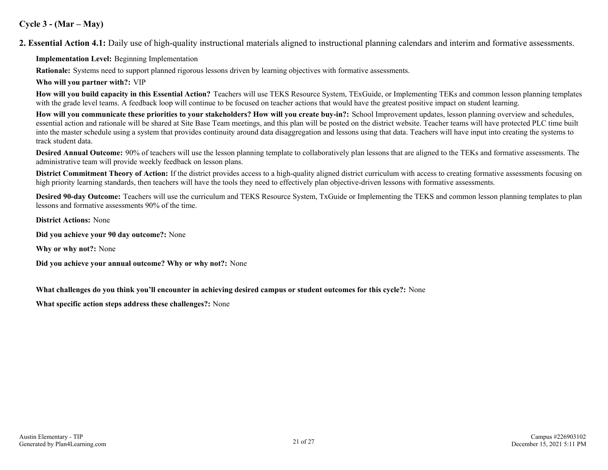#### **Cycle 3 - (Mar – May)**

**2. Essential Action 4.1:** Daily use of high-quality instructional materials aligned to instructional planning calendars and interim and formative assessments.

**Implementation Level:** Beginning Implementation

**Rationale:** Systems need to support planned rigorous lessons driven by learning objectives with formative assessments.

**Who will you partner with?:** VIP

**How will you build capacity in this Essential Action?** Teachers will use TEKS Resource System, TExGuide, or Implementing TEKs and common lesson planning templates with the grade level teams. A feedback loop will continue to be focused on teacher actions that would have the greatest positive impact on student learning.

**How will you communicate these priorities to your stakeholders? How will you create buy-in?:** School Improvement updates, lesson planning overview and schedules, essential action and rationale will be shared at Site Base Team meetings, and this plan will be posted on the district website. Teacher teams will have protected PLC time built into the master schedule using a system that provides continuity around data disaggregation and lessons using that data. Teachers will have input into creating the systems to track student data.

**Desired Annual Outcome:** 90% of teachers will use the lesson planning template to collaboratively plan lessons that are aligned to the TEKs and formative assessments. The administrative team will provide weekly feedback on lesson plans.

**District Commitment Theory of Action:** If the district provides access to a high-quality aligned district curriculum with access to creating formative assessments focusing on high priority learning standards, then teachers will have the tools they need to effectively plan objective-driven lessons with formative assessments.

**Desired 90-day Outcome:** Teachers will use the curriculum and TEKS Resource System, TxGuide or Implementing the TEKS and common lesson planning templates to plan lessons and formative assessments 90% of the time.

**District Actions:** None

**Did you achieve your 90 day outcome?:** None

**Why or why not?:** None

**Did you achieve your annual outcome? Why or why not?:** None

**What challenges do you think you'll encounter in achieving desired campus or student outcomes for this cycle?:** None

**What specific action steps address these challenges?:** None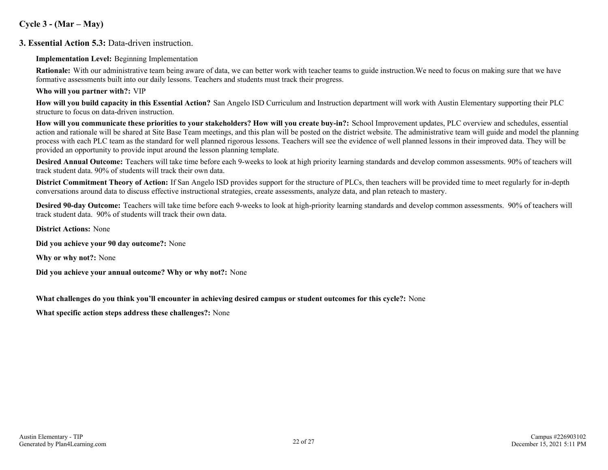#### **Cycle 3 - (Mar – May)**

#### **3. Essential Action 5.3:** Data-driven instruction.

#### **Implementation Level:** Beginning Implementation

**Rationale:** With our administrative team being aware of data, we can better work with teacher teams to guide instruction. We need to focus on making sure that we have formative assessments built into our daily lessons. Teachers and students must track their progress.

#### **Who will you partner with?:** VIP

**How will you build capacity in this Essential Action?** San Angelo ISD Curriculum and Instruction department will work with Austin Elementary supporting their PLC structure to focus on data-driven instruction.

**How will you communicate these priorities to your stakeholders? How will you create buy-in?:** School Improvement updates, PLC overview and schedules, essential action and rationale will be shared at Site Base Team meetings, and this plan will be posted on the district website. The administrative team will guide and model the planning process with each PLC team as the standard for well planned rigorous lessons. Teachers will see the evidence of well planned lessons in their improved data. They will be provided an opportunity to provide input around the lesson planning template.

**Desired Annual Outcome:** Teachers will take time before each 9-weeks to look at high priority learning standards and develop common assessments. 90% of teachers will track student data. 90% of students will track their own data.

**District Commitment Theory of Action:** If San Angelo ISD provides support for the structure of PLCs, then teachers will be provided time to meet regularly for in-depth conversations around data to discuss effective instructional strategies, create assessments, analyze data, and plan reteach to mastery.

**Desired 90-day Outcome:** Teachers will take time before each 9-weeks to look at high-priority learning standards and develop common assessments. 90% of teachers will track student data. 90% of students will track their own data.

**District Actions:** None

**Did you achieve your 90 day outcome?:** None

**Why or why not?:** None

**Did you achieve your annual outcome? Why or why not?:** None

**What challenges do you think you'll encounter in achieving desired campus or student outcomes for this cycle?:** None

**What specific action steps address these challenges?:** None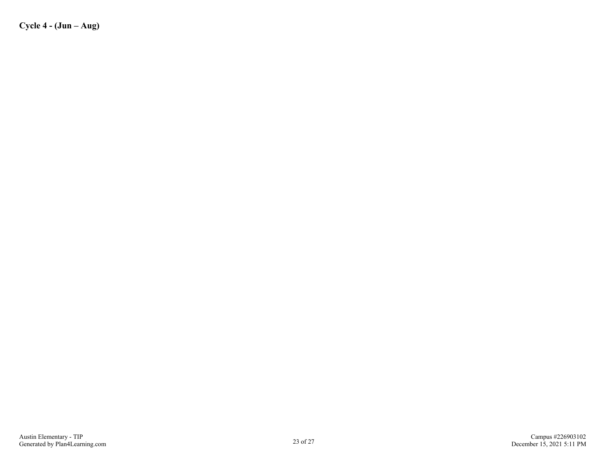**Cycle 4 - (Jun – Aug)**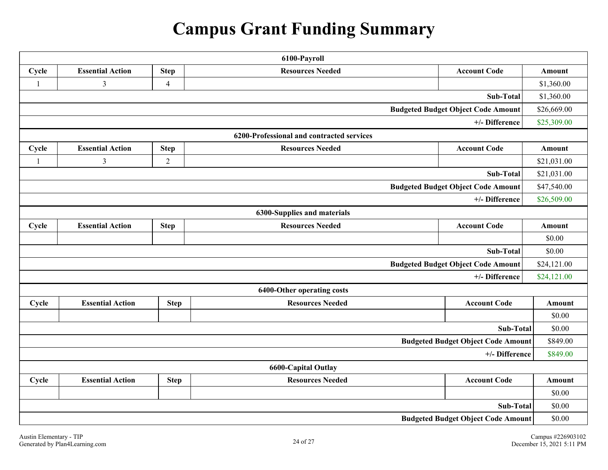# **Campus Grant Funding Summary**

| 6100-Payroll                                                                                      |                         |                |                                           |                                           |               |
|---------------------------------------------------------------------------------------------------|-------------------------|----------------|-------------------------------------------|-------------------------------------------|---------------|
| Cycle                                                                                             | <b>Essential Action</b> | <b>Step</b>    | <b>Resources Needed</b>                   | <b>Account Code</b>                       | Amount        |
| $\mathbf{1}$                                                                                      | $\mathfrak{Z}$          | $\overline{4}$ |                                           |                                           | \$1,360.00    |
|                                                                                                   |                         |                |                                           | Sub-Total                                 | \$1,360.00    |
|                                                                                                   |                         |                |                                           | <b>Budgeted Budget Object Code Amount</b> | \$26,669.00   |
|                                                                                                   |                         |                |                                           | +/- Difference                            | \$25,309.00   |
|                                                                                                   |                         |                | 6200-Professional and contracted services |                                           |               |
| Cycle                                                                                             | <b>Essential Action</b> | <b>Step</b>    | <b>Resources Needed</b>                   | <b>Account Code</b>                       | Amount        |
| $\mathbf{1}$                                                                                      | $\mathfrak{Z}$          | $\sqrt{2}$     |                                           |                                           | \$21,031.00   |
|                                                                                                   |                         |                |                                           | Sub-Total                                 | \$21,031.00   |
|                                                                                                   |                         |                |                                           | <b>Budgeted Budget Object Code Amount</b> | \$47,540.00   |
| +/- Difference                                                                                    |                         |                |                                           | \$26,509.00                               |               |
|                                                                                                   |                         |                | 6300-Supplies and materials               |                                           |               |
| Cycle                                                                                             | <b>Essential Action</b> | <b>Step</b>    | <b>Resources Needed</b>                   | <b>Account Code</b>                       | Amount        |
|                                                                                                   |                         |                |                                           |                                           | \$0.00        |
|                                                                                                   |                         |                |                                           | <b>Sub-Total</b>                          | \$0.00        |
|                                                                                                   |                         |                |                                           | <b>Budgeted Budget Object Code Amount</b> | \$24,121.00   |
|                                                                                                   |                         |                |                                           | +/- Difference                            | \$24,121.00   |
|                                                                                                   |                         |                | 6400-Other operating costs                |                                           |               |
| Cycle                                                                                             | <b>Essential Action</b> | <b>Step</b>    | <b>Resources Needed</b>                   | <b>Account Code</b>                       | <b>Amount</b> |
|                                                                                                   |                         |                |                                           |                                           | \$0.00        |
|                                                                                                   |                         |                |                                           | Sub-Total                                 | \$0.00        |
|                                                                                                   |                         |                |                                           | <b>Budgeted Budget Object Code Amount</b> | \$849.00      |
|                                                                                                   |                         |                |                                           | +/- Difference                            | \$849.00      |
| <b>6600-Capital Outlay</b>                                                                        |                         |                |                                           |                                           |               |
| <b>Essential Action</b><br><b>Step</b><br><b>Resources Needed</b><br><b>Account Code</b><br>Cycle |                         | <b>Amount</b>  |                                           |                                           |               |
|                                                                                                   |                         |                |                                           |                                           | \$0.00        |
| Sub-Total                                                                                         |                         |                | \$0.00                                    |                                           |               |
| <b>Budgeted Budget Object Code Amount</b>                                                         |                         |                | \$0.00                                    |                                           |               |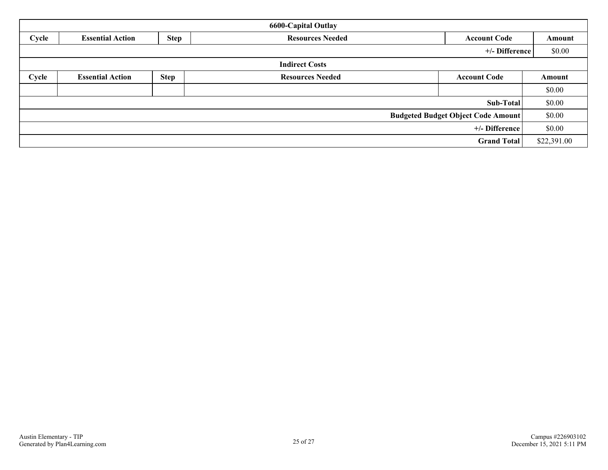| <b>6600-Capital Outlay</b>                |                         |                                                               |                         |                     |        |
|-------------------------------------------|-------------------------|---------------------------------------------------------------|-------------------------|---------------------|--------|
| Cycle                                     | <b>Essential Action</b> | <b>Step</b><br><b>Resources Needed</b><br><b>Account Code</b> |                         | Amount              |        |
|                                           |                         |                                                               |                         | +/- Difference      | \$0.00 |
|                                           |                         |                                                               | <b>Indirect Costs</b>   |                     |        |
| Cycle                                     | <b>Essential Action</b> | <b>Step</b>                                                   | <b>Resources Needed</b> | <b>Account Code</b> | Amount |
|                                           |                         |                                                               |                         |                     | \$0.00 |
|                                           |                         |                                                               | Sub-Total               | \$0.00              |        |
| <b>Budgeted Budget Object Code Amount</b> |                         |                                                               |                         | \$0.00              |        |
| +/- Difference                            |                         |                                                               |                         | \$0.00              |        |
| <b>Grand Total</b>                        |                         |                                                               | \$22,391.00             |                     |        |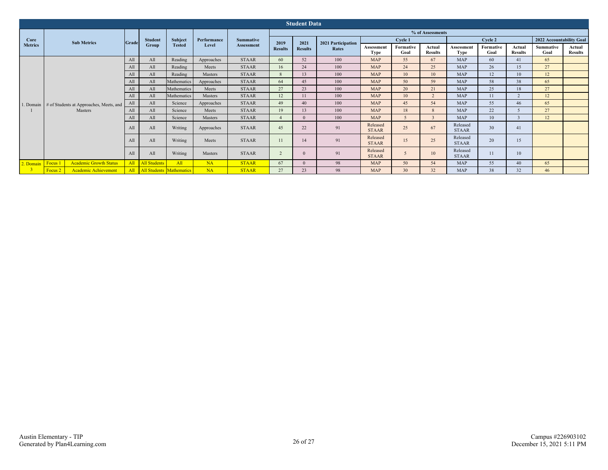| <b>Student Data</b>    |                                                                     |              |                              |                          |                      |                                |                        |                |                             |                           |                   |                          |                           |                   |                          |                          |                          |
|------------------------|---------------------------------------------------------------------|--------------|------------------------------|--------------------------|----------------------|--------------------------------|------------------------|----------------|-----------------------------|---------------------------|-------------------|--------------------------|---------------------------|-------------------|--------------------------|--------------------------|--------------------------|
| Core<br><b>Metrics</b> | <b>Sub Metrics</b>                                                  | <b>Grade</b> | <b>Student</b><br>Group      | Subject<br><b>Tested</b> | Performance<br>Level | <b>Summative</b><br>Assessment | % of Assessments       |                |                             |                           |                   |                          |                           |                   |                          |                          |                          |
|                        |                                                                     |              |                              |                          |                      |                                | 2019<br><b>Results</b> | 2021           | 2021 Participation<br>Rates | Cycle 1                   |                   |                          | Cycle 2                   |                   |                          | 2022 Accountability Goal |                          |
|                        |                                                                     |              |                              |                          |                      |                                |                        | <b>Results</b> |                             | Assessment<br><b>Type</b> | Formative<br>Goal | Actual<br><b>Results</b> | Assessment<br><b>Type</b> | Formative<br>Goal | Actual<br><b>Results</b> | <b>Summative</b><br>Goal | Actual<br><b>Results</b> |
|                        | 1. Domain # of Students at Approaches, Meets, and<br><b>Masters</b> | All          | All                          | Reading                  | Approaches           | <b>STAAR</b>                   | 60                     | 52             | 100                         | <b>MAP</b>                | 55                | 67                       | <b>MAP</b>                | 60                | 41                       | 65                       |                          |
|                        |                                                                     | All          | All                          | Reading                  | Meets                | <b>STAAR</b>                   | 16                     | 24             | 100                         | <b>MAP</b>                | 24                | 25                       | <b>MAP</b>                | 26                | 15                       | 27                       |                          |
|                        |                                                                     | All          | All                          | Reading                  | Masters              | <b>STAAR</b>                   | 8                      | 13             | 100                         | <b>MAP</b>                | 10                | 10                       | <b>MAP</b>                | 12                | 10                       | 12                       |                          |
|                        |                                                                     | All          | All                          | Mathematics              | Approaches           | <b>STAAR</b>                   | 64                     | 45             | 100                         | <b>MAP</b>                | 50                | 59                       | <b>MAP</b>                | 58                | 38                       | 65                       |                          |
|                        |                                                                     | All          | All                          | Mathematics              | Meets                | <b>STAAR</b>                   | 27                     | 23             | 100                         | <b>MAP</b>                | 20                | 21                       | <b>MAP</b>                | 25                | 18                       | 27                       |                          |
|                        |                                                                     | All          | All                          | Mathematics              | Masters              | <b>STAAR</b>                   | 12                     | 11             | 100                         | <b>MAP</b>                | 10                | $\overline{2}$           | <b>MAP</b>                | 11                | $\overline{2}$           | 12                       |                          |
|                        |                                                                     | All          | All                          | Science                  | Approaches           | <b>STAAR</b>                   | 49                     | 40             | 100                         | <b>MAP</b>                | 45                | 54                       | <b>MAP</b>                | 55                | 46                       | 65                       |                          |
|                        |                                                                     | All          | All                          | Science                  | Meets                | <b>STAAR</b>                   | 19                     | 13             | 100                         | <b>MAP</b>                | 18                | $\mathbf{8}$             | <b>MAP</b>                | 22                |                          | 27                       |                          |
|                        |                                                                     | All          | All                          | Science                  | Masters              | <b>STAAR</b>                   |                        | $\Omega$       | 100                         | <b>MAP</b>                | $\mathcal{F}$     | $\overline{\mathbf{3}}$  | <b>MAP</b>                | 10                |                          | 12                       |                          |
|                        |                                                                     | All          | All                          | Writing                  | Approaches           | <b>STAAR</b>                   | 45                     | 22             | 91                          | Released<br><b>STAAR</b>  | 25                | 67                       | Released<br><b>STAAR</b>  | 30                | 41                       |                          |                          |
|                        |                                                                     | All          | All                          | Writing                  | Meets                | <b>STAAR</b>                   | 11                     | 14             | 91                          | Released<br><b>STAAR</b>  | 15                | 25                       | Released<br><b>STAAR</b>  | 20                | 15                       |                          |                          |
|                        |                                                                     | All          | All                          | Writing                  | Masters              | <b>STAAR</b>                   | $\overline{2}$         | $\Omega$       | 91                          | Released<br><b>STAAR</b>  | 5                 | 10                       | Released<br><b>STAAR</b>  | 11                | 10                       |                          |                          |
| 2. Domain Focus 1      | <b>Academic Growth Status</b>                                       |              | All All Students             | All                      | NA                   | <b>STAAR</b>                   | 67                     | $\Omega$       | 98                          | <b>MAP</b>                | 50                | 54                       | <b>MAP</b>                | 55                | 40                       | 65                       |                          |
|                        | <b>Academic Achievement</b><br>Focus <sub>2</sub>                   |              | All All Students Mathematics |                          | NA                   | <b>STAAR</b>                   | 27                     | 23             | 98                          | <b>MAP</b>                | 30 <sup>°</sup>   | 32                       | <b>MAP</b>                | 38                | 32                       | 46                       |                          |